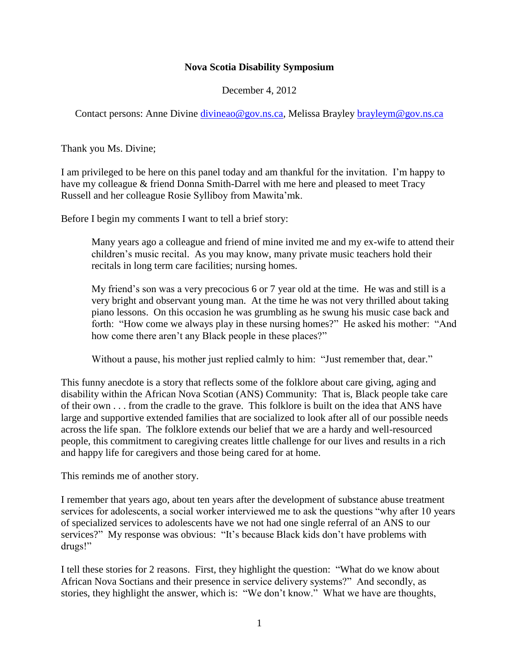## **Nova Scotia Disability Symposium**

December 4, 2012

Contact persons: Anne Divine [divineao@gov.ns.ca,](mailto:divineao@gov.ns.ca) Melissa Brayley [brayleym@gov.ns.ca](mailto:brayleym@gov.ns.ca)

Thank you Ms. Divine;

I am privileged to be here on this panel today and am thankful for the invitation. I'm happy to have my colleague & friend Donna Smith-Darrel with me here and pleased to meet Tracy Russell and her colleague Rosie Sylliboy from Mawita'mk.

Before I begin my comments I want to tell a brief story:

Many years ago a colleague and friend of mine invited me and my ex-wife to attend their children's music recital. As you may know, many private music teachers hold their recitals in long term care facilities; nursing homes.

My friend's son was a very precocious 6 or 7 year old at the time. He was and still is a very bright and observant young man. At the time he was not very thrilled about taking piano lessons. On this occasion he was grumbling as he swung his music case back and forth: "How come we always play in these nursing homes?" He asked his mother: "And how come there aren't any Black people in these places?"

Without a pause, his mother just replied calmly to him: "Just remember that, dear."

This funny anecdote is a story that reflects some of the folklore about care giving, aging and disability within the African Nova Scotian (ANS) Community: That is, Black people take care of their own . . . from the cradle to the grave. This folklore is built on the idea that ANS have large and supportive extended families that are socialized to look after all of our possible needs across the life span. The folklore extends our belief that we are a hardy and well-resourced people, this commitment to caregiving creates little challenge for our lives and results in a rich and happy life for caregivers and those being cared for at home.

This reminds me of another story.

I remember that years ago, about ten years after the development of substance abuse treatment services for adolescents, a social worker interviewed me to ask the questions "why after 10 years of specialized services to adolescents have we not had one single referral of an ANS to our services?" My response was obvious: "It's because Black kids don't have problems with drugs!"

I tell these stories for 2 reasons. First, they highlight the question: "What do we know about African Nova Soctians and their presence in service delivery systems?" And secondly, as stories, they highlight the answer, which is: "We don't know." What we have are thoughts,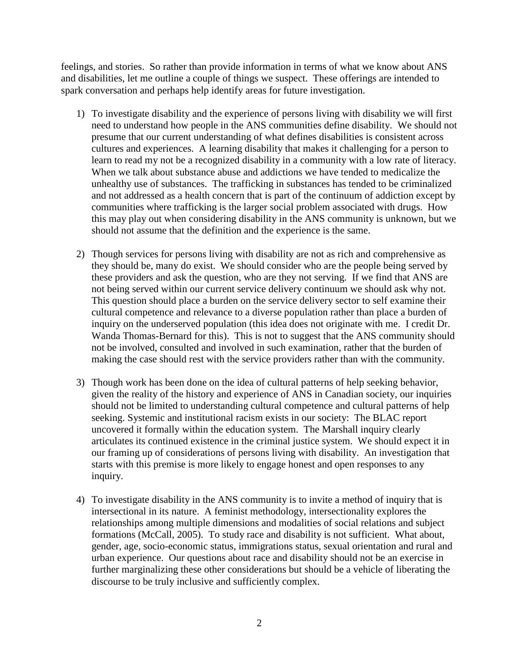feelings, and stories. So rather than provide information in terms of what we know about ANS and disabilities, let me outline a couple of things we suspect. These offerings are intended to spark conversation and perhaps help identify areas for future investigation.

- 1) To investigate disability and the experience of persons living with disability we will first need to understand how people in the ANS communities define disability. We should not presume that our current understanding of what defines disabilities is consistent across cultures and experiences. A learning disability that makes it challenging for a person to learn to read my not be a recognized disability in a community with a low rate of literacy. When we talk about substance abuse and addictions we have tended to medicalize the unhealthy use of substances. The trafficking in substances has tended to be criminalized and not addressed as a health concern that is part of the continuum of addiction except by communities where trafficking is the larger social problem associated with drugs. How this may play out when considering disability in the ANS community is unknown, but we should not assume that the definition and the experience is the same.
- 2) Though services for persons living with disability are not as rich and comprehensive as they should be, many do exist. We should consider who are the people being served by these providers and ask the question, who are they not serving. If we find that ANS are not being served within our current service delivery continuum we should ask why not. This question should place a burden on the service delivery sector to self examine their cultural competence and relevance to a diverse population rather than place a burden of inquiry on the underserved population (this idea does not originate with me. I credit Dr. Wanda Thomas-Bernard for this). This is not to suggest that the ANS community should not be involved, consulted and involved in such examination, rather that the burden of making the case should rest with the service providers rather than with the community.
- 3) Though work has been done on the idea of cultural patterns of help seeking behavior, given the reality of the history and experience of ANS in Canadian society, our inquiries should not be limited to understanding cultural competence and cultural patterns of help seeking. Systemic and institutional racism exists in our society: The BLAC report uncovered it formally within the education system. The Marshall inquiry clearly articulates its continued existence in the criminal justice system. We should expect it in our framing up of considerations of persons living with disability. An investigation that starts with this premise is more likely to engage honest and open responses to any inquiry.
- 4) To investigate disability in the ANS community is to invite a method of inquiry that is intersectional in its nature. A feminist methodology, intersectionality explores the relationships among multiple dimensions and modalities of social relations and subject formations (McCall, 2005). To study race and disability is not sufficient. What about, gender, age, socio-economic status, immigrations status, sexual orientation and rural and urban experience. Our questions about race and disability should not be an exercise in further marginalizing these other considerations but should be a vehicle of liberating the discourse to be truly inclusive and sufficiently complex.